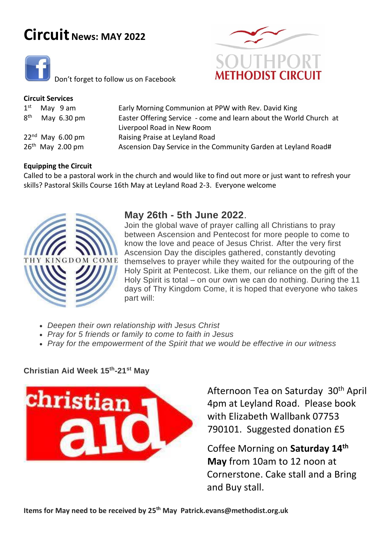# **Circuit News: MAY <sup>2022</sup>**



Don't forget to follow us on Facebook

## **Circuit Services**

| 8 <sup>th</sup> | $1st$ May 9 am<br>May 6.30 pm | Early Morning Communion at PPW with Rev. David King<br>Easter Offering Service - come and learn about the World Church at |
|-----------------|-------------------------------|---------------------------------------------------------------------------------------------------------------------------|
|                 |                               | Liverpool Road in New Room                                                                                                |
|                 | $22nd$ May 6.00 pm            | Raising Praise at Leyland Road                                                                                            |
|                 | $26th$ May 2.00 pm            | Ascension Day Service in the Community Garden at Leyland Road#                                                            |
|                 |                               |                                                                                                                           |

## **Equipping the Circuit**

Called to be a pastoral work in the church and would like to find out more or just want to refresh your skills? Pastoral Skills Course 16th May at Leyland Road 2-3. Everyone welcome



# **May 26th - 5th June 2022**.

Join the global wave of prayer calling all Christians to pray between Ascension and Pentecost for more people to come to know the love and peace of Jesus Christ. After the very first Ascension Day the disciples gathered, constantly devoting themselves to prayer while they waited for the outpouring of the Holy Spirit at Pentecost. Like them, our reliance on the gift of the Holy Spirit is total – on our own we can do nothing. During the 11 days of Thy Kingdom Come, it is hoped that everyone who takes part will:

- *Deepen their own relationship with Jesus Christ*
- *Pray for 5 friends or family to come to faith in Jesus*
- *Pray for the empowerment of the Spirit that we would be effective in our witness*

**Christian Aid Week 15th-21st May**



Afternoon Tea on Saturday 30<sup>th</sup> April 4pm at Leyland Road. Please book with Elizabeth Wallbank 07753 790101. Suggested donation £5

Coffee Morning on **Saturday 14th May** from 10am to 12 noon at Cornerstone. Cake stall and a Bring and Buy stall.

**Items for May need to be received by 25 th May Patrick.evans@methodist.org.uk**